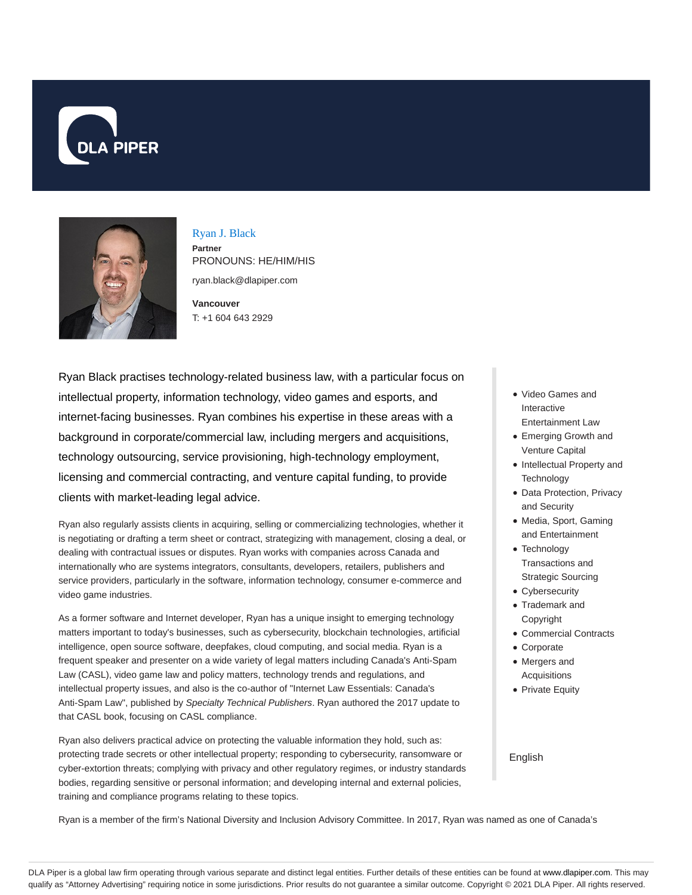



Ryan J. Black **Partner** PRONOUNS: HE/HIM/HIS ryan.black@dlapiper.com

**Vancouver** T: +1 604 643 2929

Ryan Black practises technology-related business law, with a particular focus on intellectual property, information technology, video games and esports, and internet-facing businesses. Ryan combines his expertise in these areas with a background in corporate/commercial law, including mergers and acquisitions, technology outsourcing, service provisioning, high-technology employment, licensing and commercial contracting, and venture capital funding, to provide clients with market-leading legal advice.

Ryan also regularly assists clients in acquiring, selling or commercializing technologies, whether it is negotiating or drafting a term sheet or contract, strategizing with management, closing a deal, or dealing with contractual issues or disputes. Ryan works with companies across Canada and internationally who are systems integrators, consultants, developers, retailers, publishers and service providers, particularly in the software, information technology, consumer e-commerce and video game industries.

As a former software and Internet developer, Ryan has a unique insight to emerging technology matters important to today's businesses, such as cybersecurity, blockchain technologies, artificial intelligence, open source software, deepfakes, cloud computing, and social media. Ryan is a frequent speaker and presenter on a wide variety of legal matters including Canada's Anti-Spam Law (CASL), video game law and policy matters, technology trends and regulations, and intellectual property issues, and also is the co-author of "Internet Law Essentials: Canada's Anti-Spam Law", published by Specialty Technical Publishers. Ryan authored the 2017 update to that CASL book, focusing on CASL compliance.

Ryan also delivers practical advice on protecting the valuable information they hold, such as: protecting trade secrets or other intellectual property; responding to cybersecurity, ransomware or cyber-extortion threats; complying with privacy and other regulatory regimes, or industry standards bodies, regarding sensitive or personal information; and developing internal and external policies, training and compliance programs relating to these topics.

- Video Games and Interactive Entertainment Law
- Emerging Growth and Venture Capital
- Intellectual Property and **Technology**
- Data Protection, Privacy and Security
- Media, Sport, Gaming and Entertainment
- Technology Transactions and Strategic Sourcing
- Cybersecurity
- Trademark and Copyright
- Commercial Contracts
- Corporate
- Mergers and Acquisitions
- Private Equity

English

Ryan is a member of the firm's National Diversity and Inclusion Advisory Committee. In 2017, Ryan was named as one of Canada's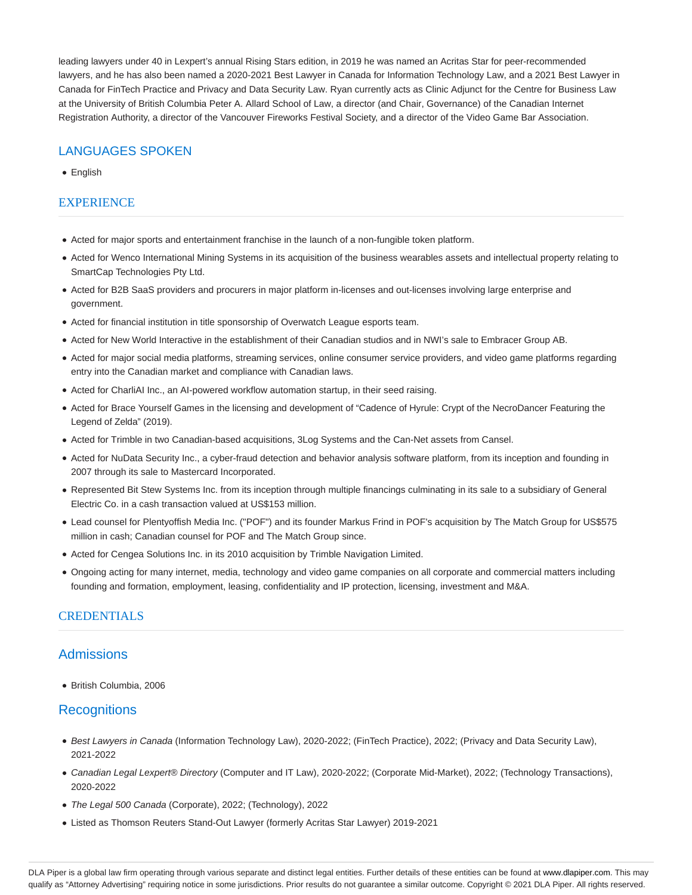leading lawyers under 40 in Lexpert's annual Rising Stars edition, in 2019 he was named an Acritas Star for peer-recommended lawyers, and he has also been named a 2020-2021 Best Lawyer in Canada for Information Technology Law, and a 2021 Best Lawyer in Canada for FinTech Practice and Privacy and Data Security Law. Ryan currently acts as Clinic Adjunct for the Centre for Business Law at the University of British Columbia Peter A. Allard School of Law, a director (and Chair, Governance) of the Canadian Internet Registration Authority, a director of the Vancouver Fireworks Festival Society, and a director of the Video Game Bar Association.

# LANGUAGES SPOKEN

• English

# EXPERIENCE

- Acted for major sports and entertainment franchise in the launch of a non-fungible token platform.
- Acted for Wenco International Mining Systems in its acquisition of the business wearables assets and intellectual property relating to SmartCap Technologies Pty Ltd.
- Acted for B2B SaaS providers and procurers in major platform in-licenses and out-licenses involving large enterprise and government.
- Acted for financial institution in title sponsorship of Overwatch League esports team.
- Acted for New World Interactive in the establishment of their Canadian studios and in NWI's sale to Embracer Group AB.
- Acted for major social media platforms, streaming services, online consumer service providers, and video game platforms regarding entry into the Canadian market and compliance with Canadian laws.
- Acted for CharliAI Inc., an AI-powered workflow automation startup, in their seed raising.
- Acted for Brace Yourself Games in the licensing and development of "Cadence of Hyrule: Crypt of the NecroDancer Featuring the Legend of Zelda" (2019).
- Acted for Trimble in two Canadian-based acquisitions, 3Log Systems and the Can-Net assets from Cansel.
- Acted for NuData Security Inc., a cyber-fraud detection and behavior analysis software platform, from its inception and founding in 2007 through its sale to Mastercard Incorporated.
- Represented Bit Stew Systems Inc. from its inception through multiple financings culminating in its sale to a subsidiary of General Electric Co. in a cash transaction valued at US\$153 million.
- Lead counsel for Plentyoffish Media Inc. ("POF") and its founder Markus Frind in POF's acquisition by The Match Group for US\$575 million in cash; Canadian counsel for POF and The Match Group since.
- Acted for Cengea Solutions Inc. in its 2010 acquisition by Trimble Navigation Limited.
- Ongoing acting for many internet, media, technology and video game companies on all corporate and commercial matters including founding and formation, employment, leasing, confidentiality and IP protection, licensing, investment and M&A.

# CREDENTIALS

# **Admissions**

British Columbia, 2006

# **Recognitions**

- Best Lawyers in Canada (Information Technology Law), 2020-2022; (FinTech Practice), 2022; (Privacy and Data Security Law), 2021-2022
- Canadian Legal Lexpert® Directory (Computer and IT Law), 2020-2022; (Corporate Mid-Market), 2022; (Technology Transactions), 2020-2022
- The Legal 500 Canada (Corporate), 2022; (Technology), 2022
- Listed as Thomson Reuters Stand-Out Lawyer (formerly Acritas Star Lawyer) 2019-2021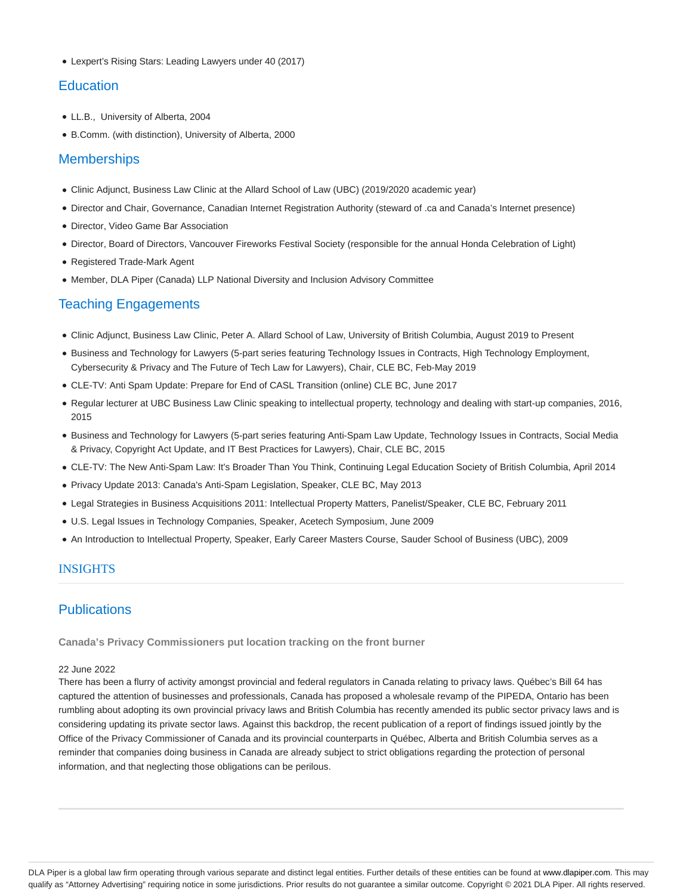Lexpert's Rising Stars: Leading Lawyers under 40 (2017)

# **Education**

- LL.B., University of Alberta, 2004
- B.Comm. (with distinction), University of Alberta, 2000

# **Memberships**

- Clinic Adjunct, Business Law Clinic at the Allard School of Law (UBC) (2019/2020 academic year)
- Director and Chair, Governance, Canadian Internet Registration Authority (steward of .ca and Canada's Internet presence)
- Director, Video Game Bar Association
- Director, Board of Directors, Vancouver Fireworks Festival Society (responsible for the annual Honda Celebration of Light)
- Registered Trade-Mark Agent
- Member, DLA Piper (Canada) LLP National Diversity and Inclusion Advisory Committee

# Teaching Engagements

- Clinic Adjunct, Business Law Clinic, Peter A. Allard School of Law, University of British Columbia, August 2019 to Present
- Business and Technology for Lawyers (5-part series featuring Technology Issues in Contracts, High Technology Employment, Cybersecurity & Privacy and The Future of Tech Law for Lawyers), Chair, CLE BC, Feb-May 2019
- CLE-TV: Anti Spam Update: Prepare for End of CASL Transition (online) CLE BC, June 2017
- Regular lecturer at UBC Business Law Clinic speaking to intellectual property, technology and dealing with start-up companies, 2016, 2015
- Business and Technology for Lawyers (5-part series featuring Anti-Spam Law Update, Technology Issues in Contracts, Social Media & Privacy, Copyright Act Update, and IT Best Practices for Lawyers), Chair, CLE BC, 2015
- CLE-TV: The New Anti-Spam Law: It's Broader Than You Think, Continuing Legal Education Society of British Columbia, April 2014
- Privacy Update 2013: Canada's Anti-Spam Legislation, Speaker, CLE BC, May 2013
- Legal Strategies in Business Acquisitions 2011: Intellectual Property Matters, Panelist/Speaker, CLE BC, February 2011
- U.S. Legal Issues in Technology Companies, Speaker, Acetech Symposium, June 2009
- An Introduction to Intellectual Property, Speaker, Early Career Masters Course, Sauder School of Business (UBC), 2009

# INSIGHTS

# **Publications**

**Canada's Privacy Commissioners put location tracking on the front burner**

### 22 June 2022

There has been a flurry of activity amongst provincial and federal regulators in Canada relating to privacy laws. Québec's Bill 64 has captured the attention of businesses and professionals, Canada has proposed a wholesale revamp of the PIPEDA, Ontario has been rumbling about adopting its own provincial privacy laws and British Columbia has recently amended its public sector privacy laws and is considering updating its private sector laws. Against this backdrop, the recent publication of a report of findings issued jointly by the Office of the Privacy Commissioner of Canada and its provincial counterparts in Québec, Alberta and British Columbia serves as a reminder that companies doing business in Canada are already subject to strict obligations regarding the protection of personal information, and that neglecting those obligations can be perilous.

DLA Piper is a global law firm operating through various separate and distinct legal entities. Further details of these entities can be found at www.dlapiper.com. This may qualify as "Attorney Advertising" requiring notice in some jurisdictions. Prior results do not guarantee a similar outcome. Copyright © 2021 DLA Piper. All rights reserved.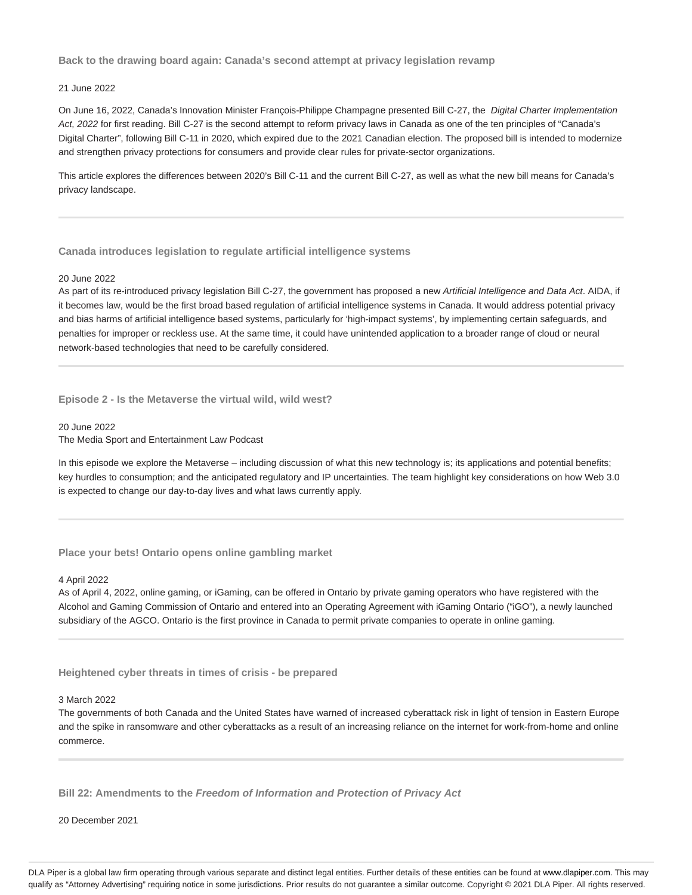**Back to the drawing board again: Canada's second attempt at privacy legislation revamp**

## 21 June 2022

On June 16, 2022, Canada's Innovation Minister François-Philippe Champagne presented Bill C-27, the Digital Charter Implementation Act, 2022 for first reading. Bill C-27 is the second attempt to reform privacy laws in Canada as one of the ten principles of "Canada's Digital Charter", following Bill C-11 in 2020, which expired due to the 2021 Canadian election. The proposed bill is intended to modernize and strengthen privacy protections for consumers and provide clear rules for private-sector organizations.

This article explores the differences between 2020's Bill C-11 and the current Bill C-27, as well as what the new bill means for Canada's privacy landscape.

### **Canada introduces legislation to regulate artificial intelligence systems**

### 20 June 2022

As part of its re-introduced privacy legislation Bill C-27, the government has proposed a new Artificial Intelligence and Data Act. AIDA, if it becomes law, would be the first broad based regulation of artificial intelligence systems in Canada. It would address potential privacy and bias harms of artificial intelligence based systems, particularly for 'high-impact systems', by implementing certain safeguards, and penalties for improper or reckless use. At the same time, it could have unintended application to a broader range of cloud or neural network-based technologies that need to be carefully considered.

**Episode 2 - Is the Metaverse the virtual wild, wild west?**

### 20 June 2022

The Media Sport and Entertainment Law Podcast

In this episode we explore the Metaverse – including discussion of what this new technology is; its applications and potential benefits; key hurdles to consumption; and the anticipated regulatory and IP uncertainties. The team highlight key considerations on how Web 3.0 is expected to change our day-to-day lives and what laws currently apply.

### **Place your bets! Ontario opens online gambling market**

#### 4 April 2022

As of April 4, 2022, online gaming, or iGaming, can be offered in Ontario by private gaming operators who have registered with the Alcohol and Gaming Commission of Ontario and entered into an Operating Agreement with iGaming Ontario ("iGO"), a newly launched subsidiary of the AGCO. Ontario is the first province in Canada to permit private companies to operate in online gaming.

#### **Heightened cyber threats in times of crisis - be prepared**

#### 3 March 2022

The governments of both Canada and the United States have warned of increased cyberattack risk in light of tension in Eastern Europe and the spike in ransomware and other cyberattacks as a result of an increasing reliance on the internet for work-from-home and online commerce.

**Bill 22: Amendments to the Freedom of Information and Protection of Privacy Act**

20 December 2021

DLA Piper is a global law firm operating through various separate and distinct legal entities. Further details of these entities can be found at www.dlapiper.com. This may qualify as "Attorney Advertising" requiring notice in some jurisdictions. Prior results do not guarantee a similar outcome. Copyright @ 2021 DLA Piper. All rights reserved.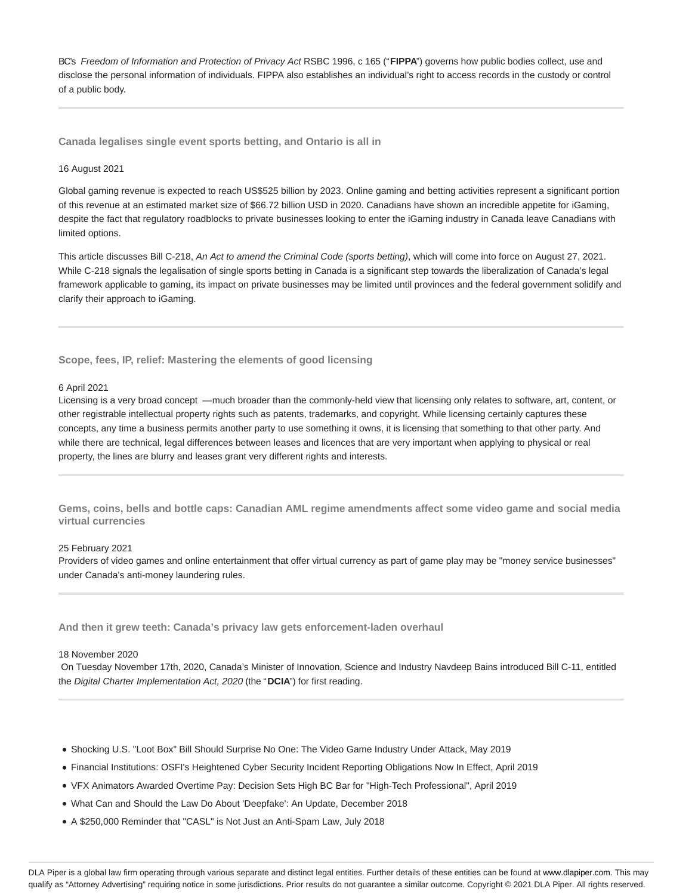BC's Freedom of Information and Protection of Privacy Act RSBC 1996, c 165 ("**FIPPA**") governs how public bodies collect, use and disclose the personal information of individuals. FIPPA also establishes an individual's right to access records in the custody or control of a public body.

**Canada legalises single event sports betting, and Ontario is all in**

### 16 August 2021

Global gaming revenue is expected to reach US\$525 billion by 2023. Online gaming and betting activities represent a significant portion of this revenue at an estimated market size of \$66.72 billion USD in 2020. Canadians have shown an incredible appetite for iGaming, despite the fact that regulatory roadblocks to private businesses looking to enter the iGaming industry in Canada leave Canadians with limited options.

This article discusses Bill C-218, An Act to amend the Criminal Code (sports betting), which will come into force on August 27, 2021. While C-218 signals the legalisation of single sports betting in Canada is a significant step towards the liberalization of Canada's legal framework applicable to gaming, its impact on private businesses may be limited until provinces and the federal government solidify and clarify their approach to iGaming.

### **Scope, fees, IP, relief: Mastering the elements of good licensing**

### 6 April 2021

Licensing is a very broad concept — much broader than the commonly-held view that licensing only relates to software, art, content, or other registrable intellectual property rights such as patents, trademarks, and copyright. While licensing certainly captures these concepts, any time a business permits another party to use something it owns, it is licensing that something to that other party. And while there are technical, legal differences between leases and licences that are very important when applying to physical or real property, the lines are blurry and leases grant very different rights and interests.

**Gems, coins, bells and bottle caps: Canadian AML regime amendments affect some video game and social media virtual currencies**

#### 25 February 2021

Providers of video games and online entertainment that offer virtual currency as part of game play may be "money service businesses" under Canada's anti-money laundering rules.

**And then it grew teeth: Canada's privacy law gets enforcement-laden overhaul**

#### 18 November 2020

 On Tuesday November 17th, 2020, Canada's Minister of Innovation, Science and Industry Navdeep Bains introduced Bill C-11, entitled the Digital Charter Implementation Act, 2020 (the "**DCIA**") for first reading.

- Shocking U.S. "Loot Box" Bill Should Surprise No One: The Video Game Industry Under Attack, May 2019
- Financial Institutions: OSFI's Heightened Cyber Security Incident Reporting Obligations Now In Effect, April 2019
- VFX Animators Awarded Overtime Pay: Decision Sets High BC Bar for "High-Tech Professional", April 2019
- What Can and Should the Law Do About 'Deepfake': An Update, December 2018
- A \$250,000 Reminder that "CASL" is Not Just an Anti-Spam Law, July 2018

DLA Piper is a global law firm operating through various separate and distinct legal entities. Further details of these entities can be found at www.dlapiper.com. This may qualify as "Attorney Advertising" requiring notice in some jurisdictions. Prior results do not guarantee a similar outcome. Copyright @ 2021 DLA Piper. All rights reserved.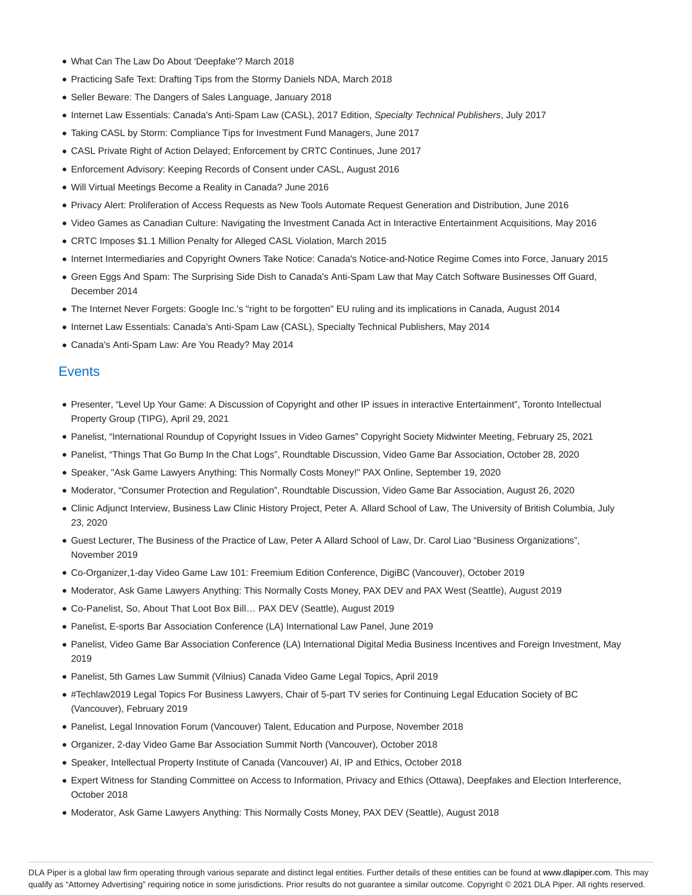- What Can The Law Do About 'Deepfake'? March 2018
- Practicing Safe Text: Drafting Tips from the Stormy Daniels NDA, March 2018
- Seller Beware: The Dangers of Sales Language, January 2018
- Internet Law Essentials: Canada's Anti-Spam Law (CASL), 2017 Edition, Specialty Technical Publishers, July 2017
- Taking CASL by Storm: Compliance Tips for Investment Fund Managers, June 2017
- CASL Private Right of Action Delayed; Enforcement by CRTC Continues, June 2017
- Enforcement Advisory: Keeping Records of Consent under CASL, August 2016
- Will Virtual Meetings Become a Reality in Canada? June 2016
- Privacy Alert: Proliferation of Access Requests as New Tools Automate Request Generation and Distribution, June 2016
- Video Games as Canadian Culture: Navigating the Investment Canada Act in Interactive Entertainment Acquisitions, May 2016
- CRTC Imposes \$1.1 Million Penalty for Alleged CASL Violation, March 2015
- Internet Intermediaries and Copyright Owners Take Notice: Canada's Notice-and-Notice Regime Comes into Force, January 2015
- Green Eggs And Spam: The Surprising Side Dish to Canada's Anti-Spam Law that May Catch Software Businesses Off Guard, December 2014
- The Internet Never Forgets: Google Inc.'s "right to be forgotten" EU ruling and its implications in Canada, August 2014
- Internet Law Essentials: Canada's Anti-Spam Law (CASL), Specialty Technical Publishers, May 2014
- Canada's Anti-Spam Law: Are You Ready? May 2014

# **Events**

- Presenter, "Level Up Your Game: A Discussion of Copyright and other IP issues in interactive Entertainment", Toronto Intellectual Property Group (TIPG), April 29, 2021
- Panelist, "International Roundup of Copyright Issues in Video Games" Copyright Society Midwinter Meeting, February 25, 2021
- Panelist, "Things That Go Bump In the Chat Logs", Roundtable Discussion, Video Game Bar Association, October 28, 2020
- Speaker, "Ask Game Lawyers Anything: This Normally Costs Money!" PAX Online, September 19, 2020
- Moderator, "Consumer Protection and Regulation", Roundtable Discussion, Video Game Bar Association, August 26, 2020
- Clinic Adjunct Interview, Business Law Clinic History Project, Peter A. Allard School of Law, The University of British Columbia, July 23, 2020
- Guest Lecturer, The Business of the Practice of Law, Peter A Allard School of Law, Dr. Carol Liao "Business Organizations", November 2019
- Co-Organizer,1-day Video Game Law 101: Freemium Edition Conference, DigiBC (Vancouver), October 2019
- Moderator, Ask Game Lawyers Anything: This Normally Costs Money, PAX DEV and PAX West (Seattle), August 2019
- Co-Panelist, So, About That Loot Box Bill… PAX DEV (Seattle), August 2019
- Panelist, E-sports Bar Association Conference (LA) International Law Panel, June 2019
- Panelist, Video Game Bar Association Conference (LA) International Digital Media Business Incentives and Foreign Investment, May 2019
- Panelist, 5th Games Law Summit (Vilnius) Canada Video Game Legal Topics, April 2019
- #Techlaw2019 Legal Topics For Business Lawyers, Chair of 5-part TV series for Continuing Legal Education Society of BC (Vancouver), February 2019
- Panelist, Legal Innovation Forum (Vancouver) Talent, Education and Purpose, November 2018
- Organizer, 2-day Video Game Bar Association Summit North (Vancouver), October 2018
- Speaker, Intellectual Property Institute of Canada (Vancouver) AI, IP and Ethics, October 2018
- Expert Witness for Standing Committee on Access to Information, Privacy and Ethics (Ottawa), Deepfakes and Election Interference, October 2018
- Moderator, Ask Game Lawyers Anything: This Normally Costs Money, PAX DEV (Seattle), August 2018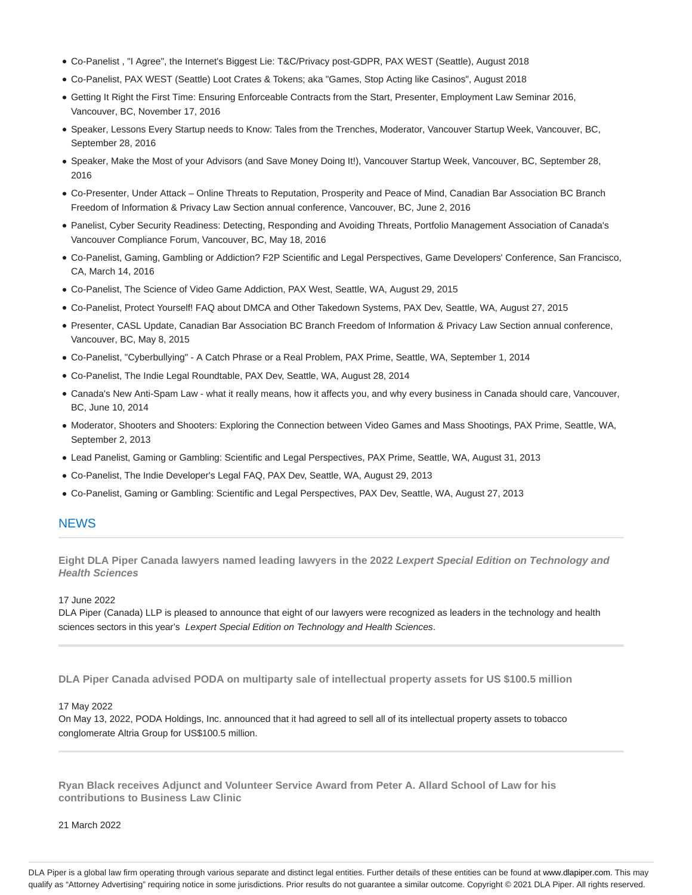- Co-Panelist , "I Agree", the Internet's Biggest Lie: T&C/Privacy post-GDPR, PAX WEST (Seattle), August 2018
- Co-Panelist, PAX WEST (Seattle) Loot Crates & Tokens; aka "Games, Stop Acting like Casinos", August 2018
- Getting It Right the First Time: Ensuring Enforceable Contracts from the Start, Presenter, Employment Law Seminar 2016, Vancouver, BC, November 17, 2016
- Speaker, Lessons Every Startup needs to Know: Tales from the Trenches, Moderator, Vancouver Startup Week, Vancouver, BC, September 28, 2016
- Speaker, Make the Most of your Advisors (and Save Money Doing It!), Vancouver Startup Week, Vancouver, BC, September 28, 2016
- Co-Presenter, Under Attack Online Threats to Reputation, Prosperity and Peace of Mind, Canadian Bar Association BC Branch Freedom of Information & Privacy Law Section annual conference, Vancouver, BC, June 2, 2016
- Panelist, Cyber Security Readiness: Detecting, Responding and Avoiding Threats, Portfolio Management Association of Canada's Vancouver Compliance Forum, Vancouver, BC, May 18, 2016
- Co-Panelist, Gaming, Gambling or Addiction? F2P Scientific and Legal Perspectives, Game Developers' Conference, San Francisco, CA, March 14, 2016
- Co-Panelist, The Science of Video Game Addiction, PAX West, Seattle, WA, August 29, 2015
- Co-Panelist, Protect Yourself! FAQ about DMCA and Other Takedown Systems, PAX Dev, Seattle, WA, August 27, 2015
- Presenter, CASL Update, Canadian Bar Association BC Branch Freedom of Information & Privacy Law Section annual conference, Vancouver, BC, May 8, 2015
- Co-Panelist, "Cyberbullying" A Catch Phrase or a Real Problem, PAX Prime, Seattle, WA, September 1, 2014
- Co-Panelist, The Indie Legal Roundtable, PAX Dev, Seattle, WA, August 28, 2014
- Canada's New Anti-Spam Law what it really means, how it affects you, and why every business in Canada should care, Vancouver, BC, June 10, 2014
- Moderator, Shooters and Shooters: Exploring the Connection between Video Games and Mass Shootings, PAX Prime, Seattle, WA, September 2, 2013
- Lead Panelist, Gaming or Gambling: Scientific and Legal Perspectives, PAX Prime, Seattle, WA, August 31, 2013
- Co-Panelist, The Indie Developer's Legal FAQ, PAX Dev, Seattle, WA, August 29, 2013
- Co-Panelist, Gaming or Gambling: Scientific and Legal Perspectives, PAX Dev, Seattle, WA, August 27, 2013

# **NEWS**

**Eight DLA Piper Canada lawyers named leading lawyers in the 2022 Lexpert Special Edition on Technology and Health Sciences**

17 June 2022

DLA Piper (Canada) LLP is pleased to announce that eight of our lawyers were recognized as leaders in the technology and health sciences sectors in this year's Lexpert Special Edition on Technology and Health Sciences.

**DLA Piper Canada advised PODA on multiparty sale of intellectual property assets for US \$100.5 million**

#### 17 May 2022

On May 13, 2022, PODA Holdings, Inc. announced that it had agreed to sell all of its intellectual property assets to tobacco conglomerate Altria Group for US\$100.5 million.

**Ryan Black receives Adjunct and Volunteer Service Award from Peter A. Allard School of Law for his contributions to Business Law Clinic**

21 March 2022

DLA Piper is a global law firm operating through various separate and distinct legal entities. Further details of these entities can be found at www.dlapiper.com. This may qualify as "Attorney Advertising" requiring notice in some jurisdictions. Prior results do not guarantee a similar outcome. Copyright @ 2021 DLA Piper. All rights reserved.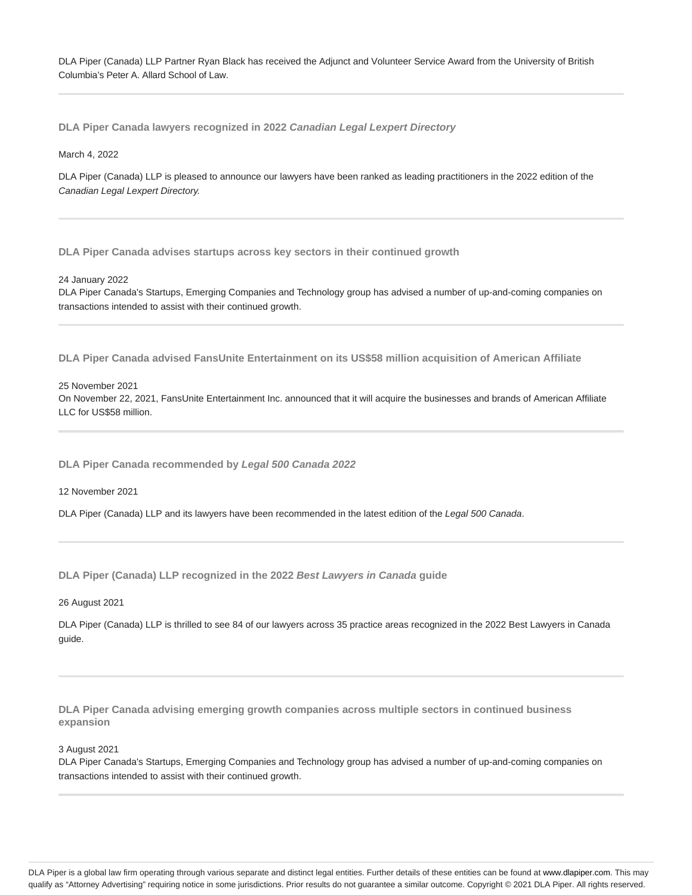DLA Piper (Canada) LLP Partner Ryan Black has received the Adjunct and Volunteer Service Award from the University of British Columbia's Peter A. Allard School of Law.

**DLA Piper Canada lawyers recognized in 2022 Canadian Legal Lexpert Directory**

#### March 4, 2022

DLA Piper (Canada) LLP is pleased to announce our lawyers have been ranked as leading practitioners in the 2022 edition of the Canadian Legal Lexpert Directory.

**DLA Piper Canada advises startups across key sectors in their continued growth**

#### 24 January 2022

DLA Piper Canada's Startups, Emerging Companies and Technology group has advised a number of up-and-coming companies on transactions intended to assist with their continued growth.

**DLA Piper Canada advised FansUnite Entertainment on its US\$58 million acquisition of American Affiliate**

### 25 November 2021

On November 22, 2021, FansUnite Entertainment Inc. announced that it will acquire the businesses and brands of American Affiliate LLC for US\$58 million.

**DLA Piper Canada recommended by Legal 500 Canada 2022**

12 November 2021

DLA Piper (Canada) LLP and its lawyers have been recommended in the latest edition of the Legal 500 Canada.

**DLA Piper (Canada) LLP recognized in the 2022 Best Lawyers in Canada guide**

### 26 August 2021

DLA Piper (Canada) LLP is thrilled to see 84 of our lawyers across 35 practice areas recognized in the 2022 Best Lawyers in Canada guide.

**DLA Piper Canada advising emerging growth companies across multiple sectors in continued business expansion**

#### 3 August 2021

DLA Piper Canada's Startups, Emerging Companies and Technology group has advised a number of up-and-coming companies on transactions intended to assist with their continued growth.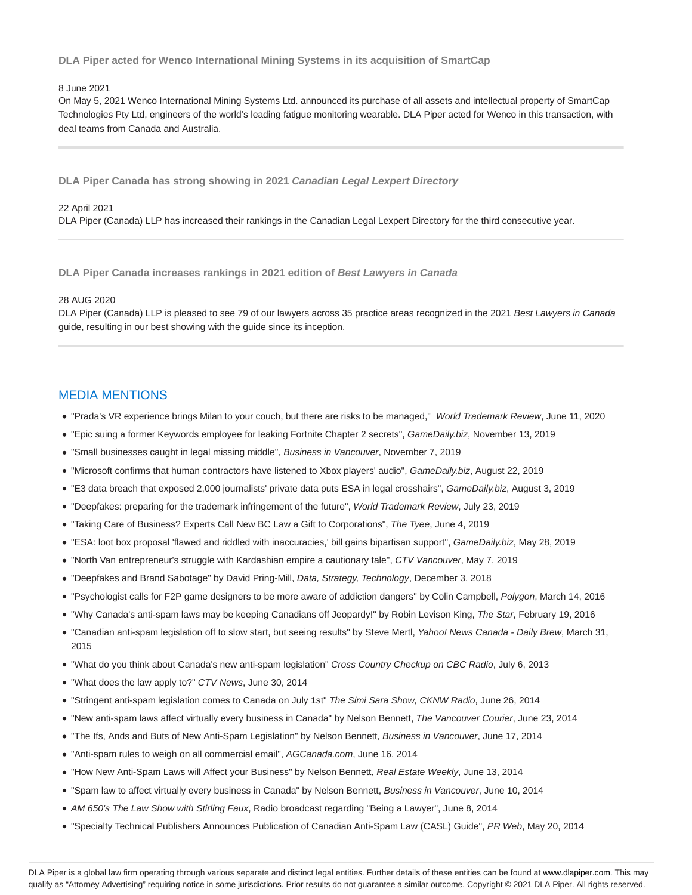**DLA Piper acted for Wenco International Mining Systems in its acquisition of SmartCap**

### 8 June 2021

On May 5, 2021 Wenco International Mining Systems Ltd. announced its purchase of all assets and intellectual property of SmartCap Technologies Pty Ltd, engineers of the world's leading fatigue monitoring wearable. DLA Piper acted for Wenco in this transaction, with deal teams from Canada and Australia.

**DLA Piper Canada has strong showing in 2021 Canadian Legal Lexpert Directory**

### 22 April 2021

DLA Piper (Canada) LLP has increased their rankings in the Canadian Legal Lexpert Directory for the third consecutive year.

**DLA Piper Canada increases rankings in 2021 edition of Best Lawyers in Canada**

### 28 AUG 2020

DLA Piper (Canada) LLP is pleased to see 79 of our lawyers across 35 practice areas recognized in the 2021 Best Lawyers in Canada guide, resulting in our best showing with the guide since its inception.

# MEDIA MENTIONS

- . "Prada's VR experience brings Milan to your couch, but there are risks to be managed," World Trademark Review, June 11, 2020
- "Epic suing a former Keywords employee for leaking Fortnite Chapter 2 secrets", GameDaily.biz, November 13, 2019
- "Small businesses caught in legal missing middle", Business in Vancouver, November 7, 2019
- "Microsoft confirms that human contractors have listened to Xbox players' audio", GameDaily.biz, August 22, 2019
- "E3 data breach that exposed 2,000 journalists' private data puts ESA in legal crosshairs", GameDaily.biz, August 3, 2019
- "Deepfakes: preparing for the trademark infringement of the future", World Trademark Review, July 23, 2019
- "Taking Care of Business? Experts Call New BC Law a Gift to Corporations", The Tyee, June 4, 2019
- "ESA: loot box proposal 'flawed and riddled with inaccuracies,' bill gains bipartisan support", GameDaily.biz, May 28, 2019
- "North Van entrepreneur's struggle with Kardashian empire a cautionary tale", CTV Vancouver, May 7, 2019
- "Deepfakes and Brand Sabotage" by David Pring-Mill, Data, Strategy, Technology, December 3, 2018
- "Psychologist calls for F2P game designers to be more aware of addiction dangers" by Colin Campbell, Polygon, March 14, 2016
- "Why Canada's anti-spam laws may be keeping Canadians off Jeopardy!" by Robin Levison King, The Star, February 19, 2016
- . "Canadian anti-spam legislation off to slow start, but seeing results" by Steve Mertl, Yahoo! News Canada Daily Brew, March 31, 2015
- "What do you think about Canada's new anti-spam legislation" Cross Country Checkup on CBC Radio, July 6, 2013
- "What does the law apply to?" CTV News, June 30, 2014
- "Stringent anti-spam legislation comes to Canada on July 1st" The Simi Sara Show, CKNW Radio, June 26, 2014
- . "New anti-spam laws affect virtually every business in Canada" by Nelson Bennett, The Vancouver Courier, June 23, 2014
- "The Ifs, Ands and Buts of New Anti-Spam Legislation" by Nelson Bennett, Business in Vancouver, June 17, 2014
- "Anti-spam rules to weigh on all commercial email", AGCanada.com, June 16, 2014
- . "How New Anti-Spam Laws will Affect your Business" by Nelson Bennett, Real Estate Weekly, June 13, 2014
- "Spam law to affect virtually every business in Canada" by Nelson Bennett, Business in Vancouver, June 10, 2014
- AM 650's The Law Show with Stirling Faux, Radio broadcast regarding "Being a Lawyer", June 8, 2014
- . "Specialty Technical Publishers Announces Publication of Canadian Anti-Spam Law (CASL) Guide", PR Web, May 20, 2014